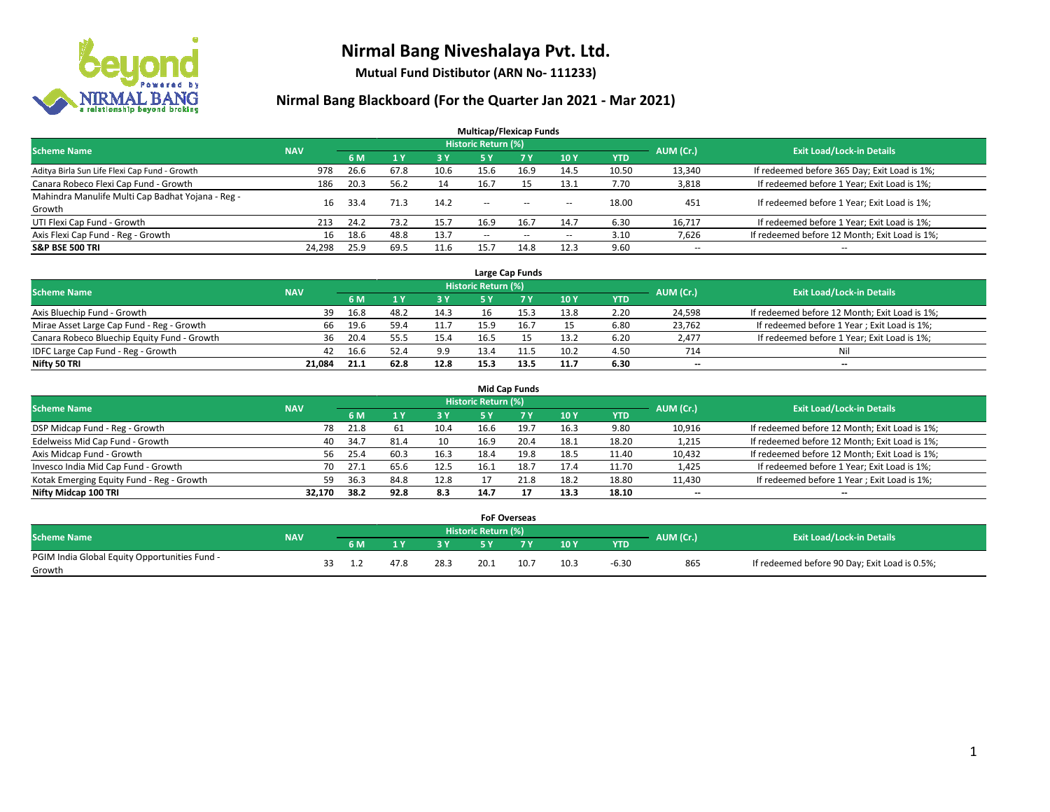

**Mutual Fund Distibutor (ARN No- 111233)**

| <b>Multicap/Flexicap Funds</b>                    |            |      |                |            |                            |        |                          |            |                          |                                               |  |  |  |
|---------------------------------------------------|------------|------|----------------|------------|----------------------------|--------|--------------------------|------------|--------------------------|-----------------------------------------------|--|--|--|
| <b>Scheme Name</b>                                | <b>NAV</b> |      |                |            | <b>Historic Return (%)</b> |        |                          |            | AUM (Cr.)                | <b>Exit Load/Lock-in Details</b>              |  |  |  |
|                                                   |            | 6 M  | 1 <sup>v</sup> | <b>3 Y</b> | 5 Y                        | 7Y     | 10Y                      | <b>YTD</b> |                          |                                               |  |  |  |
| Aditya Birla Sun Life Flexi Cap Fund - Growth     | 978        | 26.6 | 67.8           | 10.6       | 15.6                       | 16.9   | 14.5                     | 10.50      | 13,340                   | If redeemed before 365 Day; Exit Load is 1%;  |  |  |  |
| Canara Robeco Flexi Cap Fund - Growth             | 186        | 20.3 | 56.2           | 14         | 16.7                       | 15     | 13.1                     | 7.70       | 3,818                    | If redeemed before 1 Year; Exit Load is 1%;   |  |  |  |
| Mahindra Manulife Multi Cap Badhat Yojana - Reg - | 16         | 33.4 | 71.3           | 14.2       | $\sim$                     | $\sim$ |                          | 18.00      | 451                      | If redeemed before 1 Year; Exit Load is 1%;   |  |  |  |
| Growth                                            |            |      |                |            |                            |        | $\sim$                   |            |                          |                                               |  |  |  |
| UTI Flexi Cap Fund - Growth                       | 213        | 24.2 | 73.2           | 15.7       | 16.9                       | 16.7   | 14.7                     | 6.30       | 16,717                   | If redeemed before 1 Year; Exit Load is 1%;   |  |  |  |
| Axis Flexi Cap Fund - Reg - Growth                | 16         | 18.6 | 48.8           | 13.7       | $\overline{\phantom{a}}$   | $-$    | $\overline{\phantom{a}}$ | 3.10       | 7,626                    | If redeemed before 12 Month; Exit Load is 1%; |  |  |  |
| <b>S&amp;P BSE 500 TRI</b>                        | 24,298     | 25.9 | 69.5           |            | 15.                        | 14.8   | 12.3                     | 9.60       | $\overline{\phantom{a}}$ | $- -$                                         |  |  |  |

|                                             |            |      |      |      |                            | Large Cap Funds |      |            |           |                                               |
|---------------------------------------------|------------|------|------|------|----------------------------|-----------------|------|------------|-----------|-----------------------------------------------|
| <b>Scheme Name</b>                          | <b>NAV</b> |      |      |      | <b>Historic Return (%)</b> |                 |      |            | AUM (Cr.) | <b>Exit Load/Lock-in Details</b>              |
|                                             |            | 6 M  |      | 3Y   |                            |                 | 10Y  | <b>YTD</b> |           |                                               |
| Axis Bluechip Fund - Growth                 | 39         | 16.8 | 48.2 | 14.3 | 16                         |                 | 13.8 | 2.20       | 24,598    | If redeemed before 12 Month; Exit Load is 1%; |
| Mirae Asset Large Cap Fund - Reg - Growth   | 66.        | 19.6 | 59.4 | 11.7 |                            | 16.7            | 15   | 6.80       | 23,762    | If redeemed before 1 Year; Exit Load is 1%;   |
| Canara Robeco Bluechip Equity Fund - Growth | 36         | 20.4 | 55   | 15.4 | 16.5                       |                 | 13.2 | 6.20       | 2,477     | If redeemed before 1 Year; Exit Load is 1%;   |
| IDFC Large Cap Fund - Reg - Growth          | 42         | 16.6 |      | 9.9  | 13.4                       |                 | 10.2 | 4.50       | 714       | Nil                                           |
| Nifty 50 TRI                                | 21.084     | 21.1 | 62.8 | 12.8 | 15.3                       | 13.5            | 11.7 | 6.30       | $- -$     | $- -$                                         |

| <b>Mid Cap Funds</b>                      |            |            |                                  |           |      |      |      |            |                          |                                               |  |  |  |  |
|-------------------------------------------|------------|------------|----------------------------------|-----------|------|------|------|------------|--------------------------|-----------------------------------------------|--|--|--|--|
| <b>Scheme Name</b>                        | <b>NAV</b> | AUM (Cr.)  | <b>Exit Load/Lock-in Details</b> |           |      |      |      |            |                          |                                               |  |  |  |  |
|                                           |            | 6 M        |                                  | <b>3Y</b> | 5 Y  |      | 10Y  | <b>YTD</b> |                          |                                               |  |  |  |  |
| DSP Midcap Fund - Reg - Growth            |            | 78<br>21.8 | 61                               | 10.4      | 16.6 | 19.7 | 16.3 | 9.80       | 10,916                   | If redeemed before 12 Month; Exit Load is 1%; |  |  |  |  |
| Edelweiss Mid Cap Fund - Growth           |            | 34.7<br>40 | 81.4                             | 10        | 16.9 | 20.4 | 18.1 | 18.20      | 1,215                    | If redeemed before 12 Month; Exit Load is 1%; |  |  |  |  |
| Axis Midcap Fund - Growth                 |            | 56<br>25.4 | 60.3                             | 16.3      | 18.4 | 19.8 | 18.5 | 11.40      | 10,432                   | If redeemed before 12 Month; Exit Load is 1%; |  |  |  |  |
| Invesco India Mid Cap Fund - Growth       |            | 70<br>27.1 | 65.6                             | 12.5      | 16.1 | 18.7 | 17.4 | 11.70      | 1,425                    | If redeemed before 1 Year; Exit Load is 1%;   |  |  |  |  |
| Kotak Emerging Equity Fund - Reg - Growth |            | 36.3<br>59 | 84.8                             | 12.8      |      |      | 18.2 | 18.80      | 11,430                   | If redeemed before 1 Year; Exit Load is 1%;   |  |  |  |  |
| Nifty Midcap 100 TRI                      | 32.170     | 38.2       | 92.8                             | 8.3       | 14.7 | 17   | 13.3 | 18.10      | $\overline{\phantom{m}}$ | $\overline{\phantom{a}}$                      |  |  |  |  |

|                                                         |            |     |      | <b>FoF Overseas</b> |      |      |            |           |                                               |
|---------------------------------------------------------|------------|-----|------|---------------------|------|------|------------|-----------|-----------------------------------------------|
| Scheme Name                                             | <b>NAV</b> |     |      | Historic Return (%) |      |      |            | AUM (Cr.) | <b>Exit Load/Lock-in Details</b>              |
|                                                         |            | 6 M | o v  |                     | 7 V  | 10Y  | <b>YTD</b> |           |                                               |
| PGIM India Global Equity Opportunities Fund -<br>Growth |            |     | 28.3 | 20.1                | 10.7 | 10.3 | $-6.30$    | 865       | If redeemed before 90 Day; Exit Load is 0.5%; |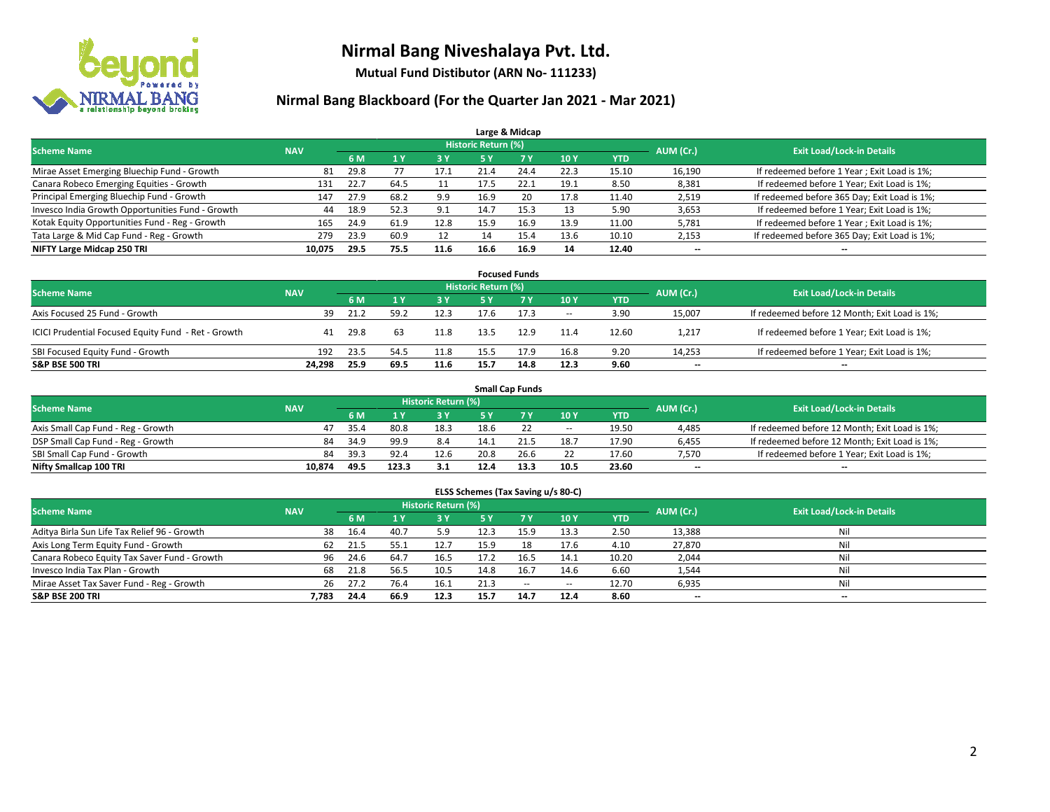

**Mutual Fund Distibutor (ARN No- 111233)**

|                                                  |            |      |      |      |                            | Large & Midcap |      |            |                          |                                              |
|--------------------------------------------------|------------|------|------|------|----------------------------|----------------|------|------------|--------------------------|----------------------------------------------|
| <b>Scheme Name</b>                               | <b>NAV</b> |      |      |      | <b>Historic Return (%)</b> |                |      |            | AUM (Cr.)                | <b>Exit Load/Lock-in Details</b>             |
|                                                  |            | 6 M  |      | 3 Y  | <b>5 Y</b>                 | 7 <sub>V</sub> | 10Y  | <b>YTD</b> |                          |                                              |
| Mirae Asset Emerging Bluechip Fund - Growth      | 81         | 29.8 |      | 17.1 | 21.4                       | 24.4           | 22.3 | 15.10      | 16,190                   | If redeemed before 1 Year; Exit Load is 1%;  |
| Canara Robeco Emerging Equities - Growth         | 131        | 22.7 | 64.5 | 11   | 17.5                       | 22.1           | 19.1 | 8.50       | 8,381                    | If redeemed before 1 Year; Exit Load is 1%;  |
| Principal Emerging Bluechip Fund - Growth        | 147        | 27.9 | 68.2 | 9.9  | 16.9                       | 20             | 17.8 | 11.40      | 2,519                    | If redeemed before 365 Day; Exit Load is 1%; |
| Invesco India Growth Opportunities Fund - Growth | 44         | 18.9 | 52.3 | 9.1  | 14.7                       | 15.3           | 13   | 5.90       | 3,653                    | If redeemed before 1 Year; Exit Load is 1%;  |
| Kotak Equity Opportunities Fund - Reg - Growth   | 165        | 24.9 | 61.9 | 12.8 | 15.9                       | 16.9           | 13.9 | 11.00      | 5,781                    | If redeemed before 1 Year; Exit Load is 1%;  |
| Tata Large & Mid Cap Fund - Reg - Growth         | 279        | 23.9 | 60.9 | 12   | 14                         | 15.4           | 13.6 | 10.10      | 2,153                    | If redeemed before 365 Day; Exit Load is 1%; |
| NIFTY Large Midcap 250 TRI                       | 10.075     | 29.5 | 75.5 | 11.6 | 16.6                       | 16.9           | 14   | 12.40      | $\overline{\phantom{a}}$ | --                                           |

| <b>Focused Funds</b>                                |            |      |      |      |                     |      |        |            |           |                                               |  |  |  |
|-----------------------------------------------------|------------|------|------|------|---------------------|------|--------|------------|-----------|-----------------------------------------------|--|--|--|
| <b>Scheme Name</b>                                  | <b>NAV</b> |      |      |      | Historic Return (%) |      |        |            | AUM (Cr.) | <b>Exit Load/Lock-in Details</b>              |  |  |  |
|                                                     |            | 6 M  |      | 3 Y  | 5 Y                 |      | 10Y    | <b>YTD</b> |           |                                               |  |  |  |
| Axis Focused 25 Fund - Growth                       | 39         | 21.2 | 59.2 | 12.3 | 17.6                |      | $\sim$ | 3.90       | 15,007    | If redeemed before 12 Month; Exit Load is 1%; |  |  |  |
| ICICI Prudential Focused Equity Fund - Ret - Growth | 41         | 29.8 | 63   | 11.8 | 13.5                | 12.9 | 11.4   | 12.60      | 1,217     | If redeemed before 1 Year; Exit Load is 1%;   |  |  |  |
| SBI Focused Equity Fund - Growth                    | 192        | 23.5 | 54.5 | 11.8 | 15.5                | 17.9 | 16.8   | 9.20       | 14,253    | If redeemed before 1 Year; Exit Load is 1%;   |  |  |  |
| <b>S&amp;P BSE 500 TRI</b>                          | 24.298     | 25.9 | 69.5 | 11.6 | 15.7                | 14.8 | 12.3   | 9.60       | $- -$     | $\overline{\phantom{a}}$                      |  |  |  |

|                                    |            |      |       |                            |      | <b>Small Cap Funds</b> |        |       |           |                                               |
|------------------------------------|------------|------|-------|----------------------------|------|------------------------|--------|-------|-----------|-----------------------------------------------|
| <b>Scheme Name</b>                 | <b>NAV</b> |      |       | <b>Historic Return (%)</b> |      |                        |        |       | AUM (Cr.) | <b>Exit Load/Lock-in Details</b>              |
|                                    |            | 6 M  |       | 73 Y.                      |      |                        | 10Y    | YTD   |           |                                               |
| Axis Small Cap Fund - Reg - Growth | 47         | 35.4 | 80.8  | 18.3                       | 18.6 |                        | $\sim$ | 19.50 | 4,485     | If redeemed before 12 Month; Exit Load is 1%; |
| DSP Small Cap Fund - Reg - Growth  | 84         | 34.9 | 99.9  | 8.4                        | 14.1 | 21.5                   | 18.7   | 17.90 | 6,455     | If redeemed before 12 Month; Exit Load is 1%; |
| SBI Small Cap Fund - Growth        | 84         | 39.3 | 92.4  | 12.6                       | 20.8 | 26.6                   |        | 17.60 | 7.570     | If redeemed before 1 Year; Exit Load is 1%;   |
| Nifty Smallcap 100 TRI             | 10.874     | 49.5 | 123.3 | 3.1                        | 12.4 | 13.3                   | 10.5   | 23.60 | $- -$     | $\overline{\phantom{a}}$                      |

| ELSS Schemes (Tax Saving u/s 80-C)           |                                  |      |      |      |           |        |            |            |           |     |  |  |  |
|----------------------------------------------|----------------------------------|------|------|------|-----------|--------|------------|------------|-----------|-----|--|--|--|
| <b>Scheme Name</b>                           | <b>Exit Load/Lock-in Details</b> |      |      |      |           |        |            |            |           |     |  |  |  |
|                                              | <b>NAV</b>                       | 6 M  | 71 Y | 3 Y  | <b>5Y</b> | 7V     | <b>10Y</b> | <b>YTD</b> | AUM (Cr.) |     |  |  |  |
| Aditya Birla Sun Life Tax Relief 96 - Growth | 38                               | 16.4 | 40.7 | 5.9  | 12.3      | 15.9   | 13.3       | 2.50       | 13,388    | Nil |  |  |  |
| Axis Long Term Equity Fund - Growth          | 62                               | 21.5 | 55.1 | 12.7 | 15.9      | 18     | 17.6       | 4.10       | 27,870    | Nil |  |  |  |
| Canara Robeco Equity Tax Saver Fund - Growth | 96                               | 24.6 | 64.7 | 16.5 | 17.2      | 16.5   | 14.1       | 10.20      | 2,044     | Nil |  |  |  |
| Invesco India Tax Plan - Growth              | 68                               | 21.8 | 56.5 | 10.5 | 14.8      | 16.7   | 14.6       | 6.60       | 1,544     | Nil |  |  |  |
| Mirae Asset Tax Saver Fund - Reg - Growth    | 26                               | 27.2 | 76.4 | 16.1 | 21.3      | $\sim$ | $\sim$     | 12.70      | 6,935     | Nil |  |  |  |
| S&P BSE 200 TRI                              | 7,783                            | 24.4 | 66.9 | 12.3 | 15.7      | 14.7   | 12.4       | 8.60       | $- -$     | $-$ |  |  |  |
|                                              |                                  |      |      |      |           |        |            |            |           |     |  |  |  |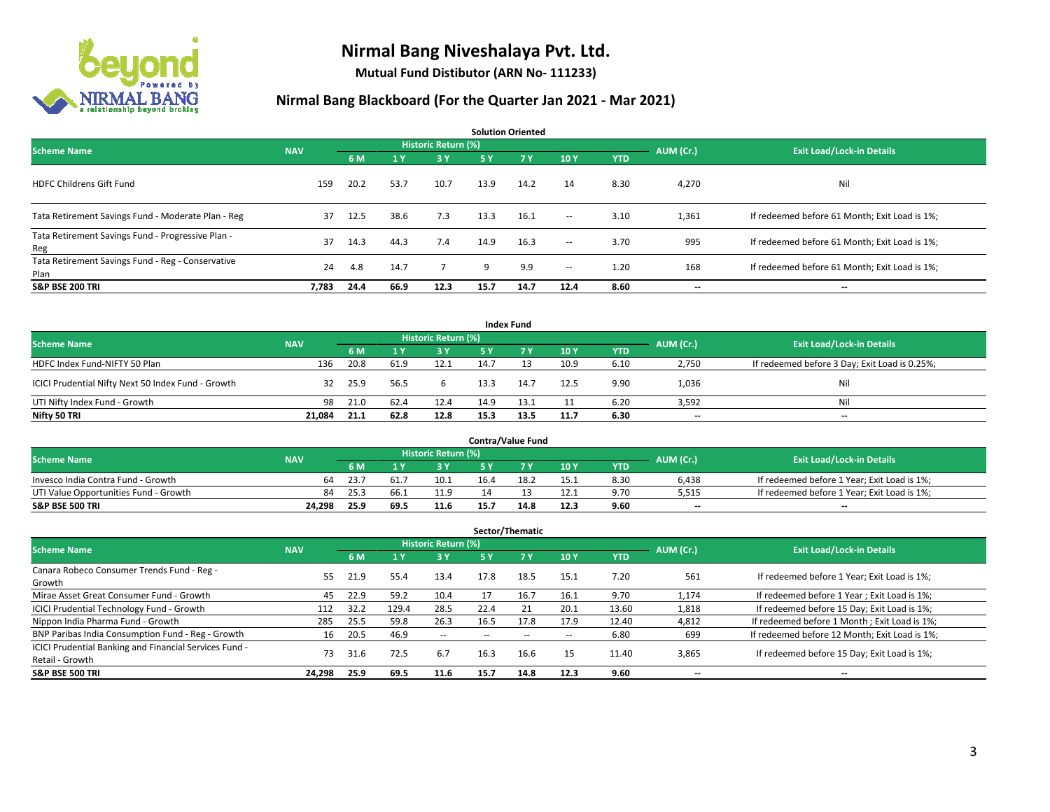

**Mutual Fund Distibutor (ARN No- 111233)**

| <b>Solution Oriented</b>                                  |            |      |      |                            |           |      |                          |            |           |                                               |  |  |  |
|-----------------------------------------------------------|------------|------|------|----------------------------|-----------|------|--------------------------|------------|-----------|-----------------------------------------------|--|--|--|
| <b>Scheme Name</b>                                        | <b>NAV</b> |      |      | <b>Historic Return (%)</b> |           |      |                          |            | AUM (Cr.) | <b>Exit Load/Lock-in Details</b>              |  |  |  |
|                                                           |            | 6 M  | 1Y   | 3 Y                        | <b>5Y</b> | 7Y   | 10Y                      | <b>YTD</b> |           |                                               |  |  |  |
| <b>HDFC Childrens Gift Fund</b>                           | 159        | 20.2 | 53.7 | 10.7                       | 13.9      | 14.2 | 14                       | 8.30       | 4,270     | Nil                                           |  |  |  |
| Tata Retirement Savings Fund - Moderate Plan - Reg        | 37         | 12.5 | 38.6 | 7.3                        | 13.3      | 16.1 | $\sim$                   | 3.10       | 1,361     | If redeemed before 61 Month; Exit Load is 1%; |  |  |  |
| Tata Retirement Savings Fund - Progressive Plan -<br>Reg  | 37         | 14.3 | 44.3 | 7.4                        | 14.9      | 16.3 | $\overline{\phantom{a}}$ | 3.70       | 995       | If redeemed before 61 Month; Exit Load is 1%; |  |  |  |
| Tata Retirement Savings Fund - Reg - Conservative<br>Plan | 24         | 4.8  | 14.7 |                            | q         | 9.9  | $\sim$                   | 1.20       | 168       | If redeemed before 61 Month; Exit Load is 1%; |  |  |  |
| <b>S&amp;P BSE 200 TRI</b>                                | 7,783      | 24.4 | 66.9 | 12.3                       | 15.7      | 14.7 | 12.4                     | 8.60       | --        | --                                            |  |  |  |

| <b>Index Fund</b>                                  |            |                                  |      |           |           |      |      |            |                          |                                               |  |  |  |  |
|----------------------------------------------------|------------|----------------------------------|------|-----------|-----------|------|------|------------|--------------------------|-----------------------------------------------|--|--|--|--|
| <b>Scheme Name</b>                                 | AUM (Cr.)  | <b>Exit Load/Lock-in Details</b> |      |           |           |      |      |            |                          |                                               |  |  |  |  |
|                                                    | <b>NAV</b> | 6 M                              |      | <b>3Y</b> | <b>5Y</b> | 7 Y  | 10Y  | <b>YTD</b> |                          |                                               |  |  |  |  |
| HDFC Index Fund-NIFTY 50 Plan                      | 136        | 20.8                             | 61.9 | 12.1      | 14.7      |      | 10.9 | 6.10       | 2,750                    | If redeemed before 3 Day; Exit Load is 0.25%; |  |  |  |  |
| ICICI Prudential Nifty Next 50 Index Fund - Growth | 32         | 25.9                             | 56.5 |           | 13.3      | 14.7 | 12.5 | 9.90       | 1,036                    | Nil                                           |  |  |  |  |
| UTI Nifty Index Fund - Growth                      | 98         | 21.0                             | 62.4 | 12.4      | 14.9      | 13.1 |      | 6.20       | 3,592                    | Nil                                           |  |  |  |  |
| Nifty 50 TRI                                       | 21.084     | 21.1                             | 62.8 | 12.8      | 15.3      | 13.5 | 11.7 | 6.30       | $\overline{\phantom{a}}$ | $\overline{\phantom{a}}$                      |  |  |  |  |

|                                       |            |            |      |                     |      | <b>Contra/Value Fund</b> |      |      |           |                                             |
|---------------------------------------|------------|------------|------|---------------------|------|--------------------------|------|------|-----------|---------------------------------------------|
| <b>Scheme Name</b>                    | <b>NAV</b> |            |      | Historic Return (%) |      |                          |      |      | AUM (Cr.) | <b>Exit Load/Lock-in Details</b>            |
|                                       |            | 6 M        |      | RУ                  |      |                          | 10Y  | YTD  |           |                                             |
| Invesco India Contra Fund - Growth    |            | 23.7<br>64 | 61.7 | 10.1                | 16.4 | 18                       | 15.1 | 8.30 | 6,438     | If redeemed before 1 Year; Exit Load is 1%; |
| UTI Value Opportunities Fund - Growth |            | 84<br>25.3 | 66.  | 11.9                | 14   |                          | 12.1 | 9.70 | 5,515     | If redeemed before 1 Year; Exit Load is 1%; |
| <b>S&amp;P BSE 500 TRI</b>            | 24.298     | 25.9       | 69.5 | 11.6                | 15.7 | 14.8                     | 12.3 | 9.60 | $- -$     | $\overline{\phantom{a}}$                    |

|                                                                           |            |      |                         |                     |      | Sector/Thematic |      |            |           |                                               |
|---------------------------------------------------------------------------|------------|------|-------------------------|---------------------|------|-----------------|------|------------|-----------|-----------------------------------------------|
| <b>Scheme Name</b>                                                        | <b>NAV</b> |      |                         | Historic Return (%) |      |                 |      |            | AUM (Cr.) | <b>Exit Load/Lock-in Details</b>              |
|                                                                           |            | 6 M  | $\mathbf{A} \mathbf{v}$ | <b>3Y</b>           | 5 Y  | 7 Y             | 10Y  | <b>YTD</b> |           |                                               |
| Canara Robeco Consumer Trends Fund - Reg -<br>Growth                      | 55.        | 21.9 | 55.4                    | 13.4                | 17.8 | 18.5            | 15.1 | 7.20       | 561       | If redeemed before 1 Year; Exit Load is 1%;   |
| Mirae Asset Great Consumer Fund - Growth                                  | 45         | 22.9 | 59.2                    | 10.4                |      | 16.7            | 16.1 | 9.70       | 1.174     | If redeemed before 1 Year; Exit Load is 1%;   |
| ICICI Prudential Technology Fund - Growth                                 | 112        | 32.2 | 129.4                   | 28.5                | 22.4 | 21              | 20.1 | 13.60      | 1,818     | If redeemed before 15 Day; Exit Load is 1%;   |
| Nippon India Pharma Fund - Growth                                         | 285        | 25.5 | 59.8                    | 26.3                | 16.5 | 17.8            | 17.9 | 12.40      | 4,812     | If redeemed before 1 Month; Exit Load is 1%;  |
| BNP Paribas India Consumption Fund - Reg - Growth                         | 16         | 20.5 | 46.9                    | $\sim$              | --   | --              | --   | 6.80       | 699       | If redeemed before 12 Month; Exit Load is 1%; |
| ICICI Prudential Banking and Financial Services Fund -<br>Retail - Growth | 73         | 31.6 | 72.5                    | 6.7                 | 16.3 | 16.6            | 15   | 11.40      | 3,865     | If redeemed before 15 Day; Exit Load is 1%;   |
| <b>S&amp;P BSE 500 TRI</b>                                                | 24,298     | 25.9 | 69.5                    | 11.6                | 15.7 | 14.8            | 12.3 | 9.60       | --        | --                                            |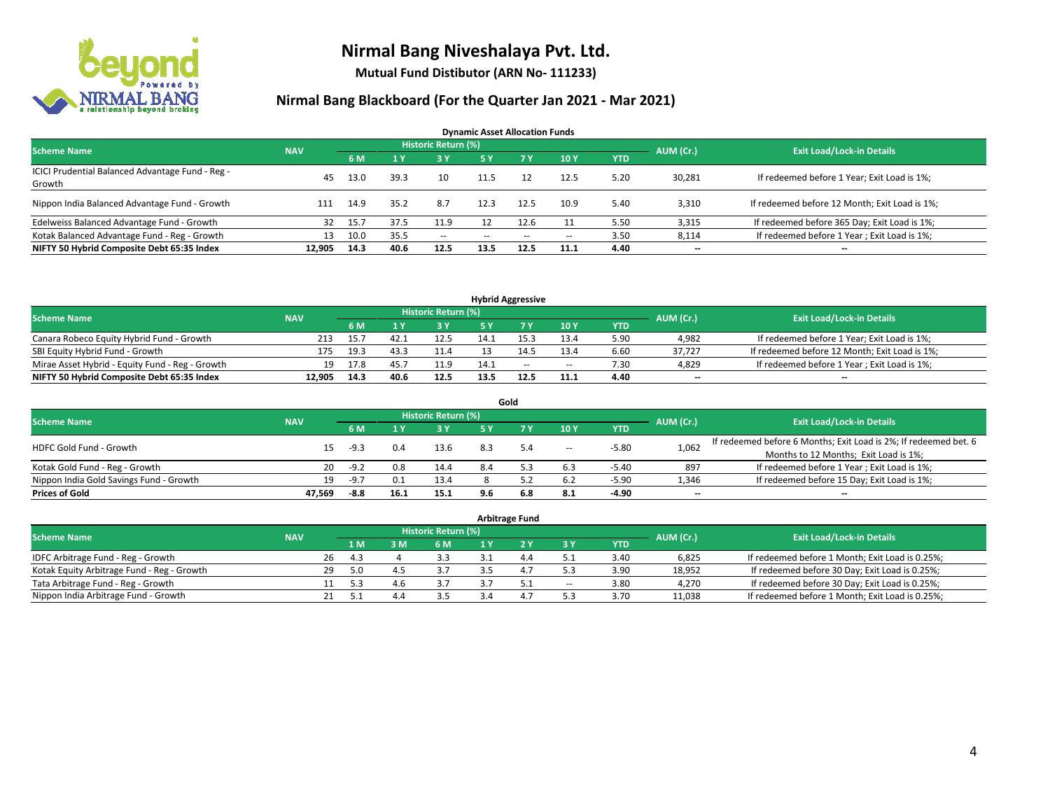

**Mutual Fund Distibutor (ARN No- 111233)**

| <b>Dynamic Asset Allocation Funds</b>                      |            |      |      |                            |      |        |       |            |           |                                               |  |  |  |
|------------------------------------------------------------|------------|------|------|----------------------------|------|--------|-------|------------|-----------|-----------------------------------------------|--|--|--|
| <b>Scheme Name</b>                                         | <b>NAV</b> |      |      | <b>Historic Return (%)</b> |      |        |       |            | AUM (Cr.) | <b>Exit Load/Lock-in Details</b>              |  |  |  |
|                                                            |            | 6 M  |      | 3 Y                        | 5 Y  | 7 Y    | 10Y   | <b>YTD</b> |           |                                               |  |  |  |
| ICICI Prudential Balanced Advantage Fund - Reg -<br>Growth | 45         | 13.0 | 39.3 | 10                         | 11.5 | 12     | 12.5  | 5.20       | 30,281    | If redeemed before 1 Year; Exit Load is 1%;   |  |  |  |
| Nippon India Balanced Advantage Fund - Growth              | 111        | 14.9 | 35.2 | 8.7                        | 12.3 | 12.5   | 10.9  | 5.40       | 3,310     | If redeemed before 12 Month; Exit Load is 1%; |  |  |  |
| Edelweiss Balanced Advantage Fund - Growth                 | 32         | 15.7 | 37.5 | 11.9                       |      | 12.6   |       | 5.50       | 3,315     | If redeemed before 365 Day; Exit Load is 1%;  |  |  |  |
| Kotak Balanced Advantage Fund - Reg - Growth               | 13         | 10.0 | 35.5 | $\sim$                     | --   | $\sim$ | $\!-$ | 3.50       | 8,114     | If redeemed before 1 Year; Exit Load is 1%;   |  |  |  |
| NIFTY 50 Hybrid Composite Debt 65:35 Index                 | 12.905     | 14.3 | 40.6 | 12.5                       | 13.5 | 12.5   | 11.1  | 4.40       | $- -$     | --                                            |  |  |  |

| <b>Hybrid Aggressive</b>                        |            |      |      |                            |      |      |        |            |           |                                               |  |  |  |  |
|-------------------------------------------------|------------|------|------|----------------------------|------|------|--------|------------|-----------|-----------------------------------------------|--|--|--|--|
| <b>Scheme Name</b>                              | <b>NAV</b> |      |      | <b>Historic Return (%)</b> |      |      |        |            | AUM (Cr.) | <b>Exit Load/Lock-in Details</b>              |  |  |  |  |
|                                                 |            | 6 M  |      | $\sim$ v                   |      |      | 10Y    | <b>YTD</b> |           |                                               |  |  |  |  |
| Canara Robeco Equity Hybrid Fund - Growth       |            | 15.7 | 42.1 | 12.5                       | 14.1 |      | 13.4   | 5.90       | 4,982     | If redeemed before 1 Year; Exit Load is 1%;   |  |  |  |  |
| SBI Equity Hybrid Fund - Growth                 | 175        | 19.3 | 43.3 | 11.4                       |      |      | 13.4   | 6.60       | 37.727    | If redeemed before 12 Month; Exit Load is 1%; |  |  |  |  |
| Mirae Asset Hybrid - Equity Fund - Reg - Growth | 19         | 17.8 | 45.  | 11.9                       | 14.1 | $-$  | $\sim$ | 7.30       | 4,829     | If redeemed before 1 Year; Exit Load is 1%;   |  |  |  |  |
| NIFTY 50 Hybrid Composite Debt 65:35 Index      | 12.905     | 14.3 | 40.6 | 12.5                       | 13.5 | 12.5 | 11.1   | 4.40       | $-$       | $-$                                           |  |  |  |  |

| Gold                                    |            |        |      |                     |     |     |                          |            |           |                                                                  |  |  |  |
|-----------------------------------------|------------|--------|------|---------------------|-----|-----|--------------------------|------------|-----------|------------------------------------------------------------------|--|--|--|
| <b>Scheme Name</b>                      | <b>NAV</b> |        |      | Historic Return (%) |     |     |                          |            | AUM (Cr.) | <b>Exit Load/Lock-in Details</b>                                 |  |  |  |
|                                         |            | 6 M    |      | 73 Y.               | 5 Y |     | 10Y                      | <b>YTD</b> |           |                                                                  |  |  |  |
| HDFC Gold Fund - Growth                 | 15         | $-9.3$ | 0.4  | 13.6                | 8.3 | 5.4 | $\overline{\phantom{a}}$ | $-5.80$    | 1,062     | If redeemed before 6 Months; Exit Load is 2%; If redeemed bet. 6 |  |  |  |
|                                         |            |        |      |                     |     |     |                          |            |           | Months to 12 Months; Exit Load is 1%;                            |  |  |  |
| Kotak Gold Fund - Reg - Growth          | 20         | $-9.2$ |      | 14.4                |     |     | 6.3                      | $-5.40$    | 897       | If redeemed before 1 Year; Exit Load is 1%;                      |  |  |  |
| Nippon India Gold Savings Fund - Growth | 19         | $-9.7$ |      | 13.4                |     |     | 6.2                      | $-5.90$    | 1,346     | If redeemed before 15 Day; Exit Load is 1%;                      |  |  |  |
| <b>Prices of Gold</b>                   | 47.569     | -8.8   | 16.1 | 15.1                | 9.6 | 6.8 | 8.1                      | -4.90      | --        | $- -$                                                            |  |  |  |

| <b>Arbitrage Fund</b>                      |            |           |                                  |     |     |  |     |                          |            |        |                                                 |  |  |
|--------------------------------------------|------------|-----------|----------------------------------|-----|-----|--|-----|--------------------------|------------|--------|-------------------------------------------------|--|--|
| <b>Scheme Name</b>                         | <b>NAV</b> | AUM (Cr.) | <b>Exit Load/Lock-in Details</b> |     |     |  |     |                          |            |        |                                                 |  |  |
|                                            |            |           | 1 M.                             | 3 M | 6 M |  |     | 3 Y                      | <b>YTD</b> |        |                                                 |  |  |
| IDFC Arbitrage Fund - Reg - Growth         |            | 26        | 4.3                              |     | 3.3 |  | 4.4 |                          | 3.40       | 6,825  | If redeemed before 1 Month; Exit Load is 0.25%; |  |  |
| Kotak Equity Arbitrage Fund - Reg - Growth |            | 29        | 5.0                              | 4.5 |     |  | 4.7 | 5.3                      | 3.90       | 18.952 | If redeemed before 30 Day; Exit Load is 0.25%;  |  |  |
| Tata Arbitrage Fund - Reg - Growth         |            |           | 5.3                              | 4.b |     |  | 5.1 | $\overline{\phantom{a}}$ | 3.80       | 4.270  | If redeemed before 30 Day; Exit Load is 0.25%;  |  |  |
| Nippon India Arbitrage Fund - Growth       |            |           |                                  | 4.4 |     |  | 4.1 |                          | 3.70       | 11,038 | If redeemed before 1 Month; Exit Load is 0.25%; |  |  |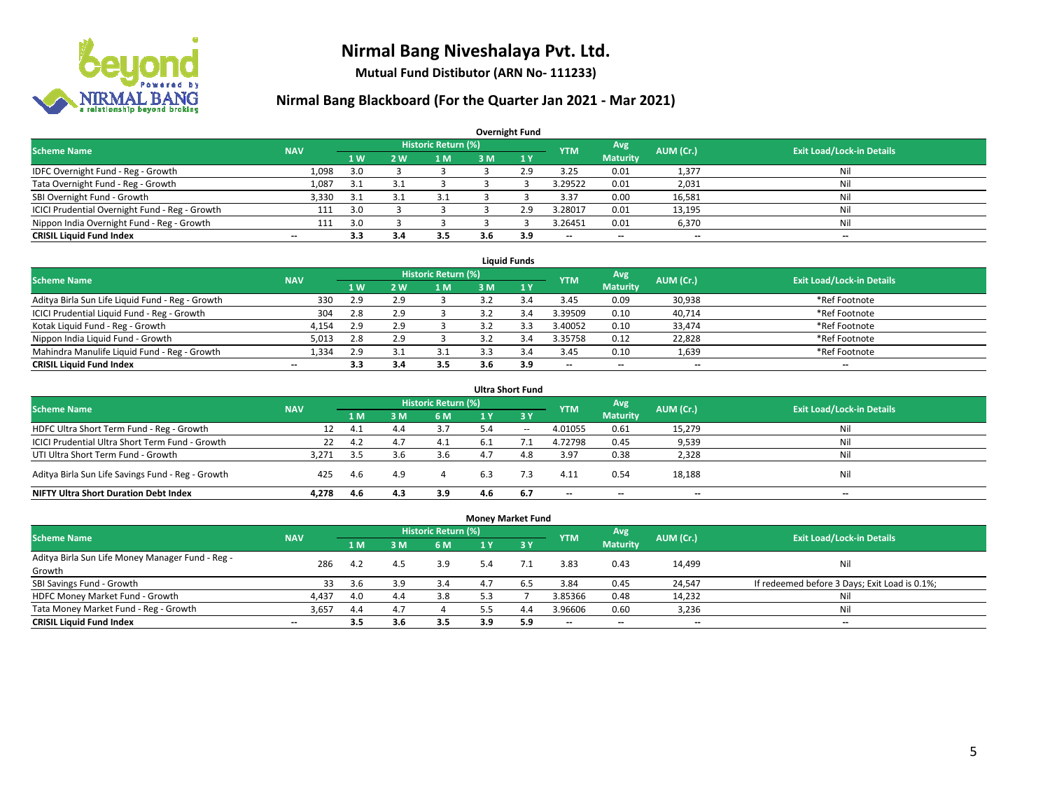

**Mutual Fund Distibutor (ARN No- 111233)**

| <b>Overnight Fund</b>                          |            |     |              |                            |     |              |            |                 |                          |                                  |  |  |  |  |
|------------------------------------------------|------------|-----|--------------|----------------------------|-----|--------------|------------|-----------------|--------------------------|----------------------------------|--|--|--|--|
| <b>Scheme Name</b>                             | <b>NAV</b> |     |              | <b>Historic Return (%)</b> |     |              | <b>YTM</b> | Avg             | AUM (Cr.)                | <b>Exit Load/Lock-in Details</b> |  |  |  |  |
|                                                |            | 1W  | 2 W          | l M                        | 3 M | $\sqrt{1}$ Y |            | <b>Maturity</b> |                          |                                  |  |  |  |  |
| IDFC Overnight Fund - Reg - Growth             | 1,098      | 3.0 |              |                            |     | 2.9          | 3.25       | 0.01            | 1,377                    | Nil                              |  |  |  |  |
| Tata Overnight Fund - Reg - Growth             | 1,087      | 3.1 | $\mathbf{a}$ |                            |     |              | 3.29522    | 0.01            | 2,031                    | Nil                              |  |  |  |  |
| SBI Overnight Fund - Growth                    | 3,330      | 3.1 | 2            | 3.1                        |     |              | 3.37       | 0.00            | 16,581                   | Nil                              |  |  |  |  |
| ICICI Prudential Overnight Fund - Reg - Growth | 111        | 3.0 |              |                            |     | 2.9          | 3.28017    | 0.01            | 13,195                   | Nil                              |  |  |  |  |
| Nippon India Overnight Fund - Reg - Growth     | 111        | 3.0 |              |                            |     |              | 3.26451    | 0.01            | 6,370                    | Nil                              |  |  |  |  |
| <b>CRISIL Liquid Fund Index</b>                | $- -$      | 3.3 | 3.4          | 3.5                        | 3.6 | 3.9          | --         | --              | $\overline{\phantom{m}}$ | --                               |  |  |  |  |

| <b>Liquid Funds</b>                              |            |                |    |                     |     |     |                          |                 |           |                                  |  |  |  |
|--------------------------------------------------|------------|----------------|----|---------------------|-----|-----|--------------------------|-----------------|-----------|----------------------------------|--|--|--|
| <b>Scheme Name</b>                               | <b>NAV</b> |                |    | Historic Return (%) |     |     | <b>YTM</b>               | Avg             | AUM (Cr.) | <b>Exit Load/Lock-in Details</b> |  |  |  |
|                                                  |            | 1 <sub>W</sub> | 2W | 1 M                 | 3 M |     |                          | <b>Maturity</b> |           |                                  |  |  |  |
| Aditya Birla Sun Life Liquid Fund - Reg - Growth | 330        | 2.9            |    |                     |     |     | 3.45                     | 0.09            | 30,938    | *Ref Footnote                    |  |  |  |
| ICICI Prudential Liquid Fund - Reg - Growth      | 304        | 2.8            |    |                     |     |     | 3.39509                  | 0.10            | 40,714    | *Ref Footnote                    |  |  |  |
| Kotak Liquid Fund - Reg - Growth                 | 4,154      | 2.9            |    |                     |     |     | 3.40052                  | 0.10            | 33,474    | *Ref Footnote                    |  |  |  |
| Nippon India Liquid Fund - Growth                | 5,013      | 2.8            |    |                     |     |     | 3.35758                  | 0.12            | 22,828    | *Ref Footnote                    |  |  |  |
| Mahindra Manulife Liquid Fund - Reg - Growth     | 1,334      | 2.9            |    |                     |     |     | 3.45                     | 0.10            | 1,639     | *Ref Footnote                    |  |  |  |
| <b>CRISIL Liquid Fund Index</b>                  | $- -$      | 3.3            |    | 3.5                 | 3.6 | 3.9 | $\overline{\phantom{a}}$ | $- -$           | $- -$     | $-$                              |  |  |  |

| <b>Ultra Short Fund</b>                                                                                                              |       |      |     |     |     |       |                          |                          |        |     |  |  |  |  |
|--------------------------------------------------------------------------------------------------------------------------------------|-------|------|-----|-----|-----|-------|--------------------------|--------------------------|--------|-----|--|--|--|--|
| <b>Historic Return (%)</b><br>Avg<br><b>Exit Load/Lock-in Details</b><br>AUM (Cr.)<br><b>Scheme Name</b><br><b>NAV</b><br><b>YTM</b> |       |      |     |     |     |       |                          |                          |        |     |  |  |  |  |
|                                                                                                                                      |       | 1 M  | 3 M | 6 M | 1 Y | 3Y    |                          | <b>Maturity</b>          |        |     |  |  |  |  |
| HDFC Ultra Short Term Fund - Reg - Growth                                                                                            | 12    | 4.1  | 4.4 | 3.7 |     | $- -$ | 4.01055                  | 0.61                     | 15,279 | Nil |  |  |  |  |
| ICICI Prudential Ultra Short Term Fund - Growth                                                                                      | 22    | 4.2  | 4.7 | 4.1 | 6.1 |       | 4.72798                  | 0.45                     | 9,539  | Nil |  |  |  |  |
| UTI Ultra Short Term Fund - Growth                                                                                                   | 3.271 | -3.5 |     | 3.6 |     | 4.8   | 3.97                     | 0.38                     | 2,328  | Ni  |  |  |  |  |
| Aditya Birla Sun Life Savings Fund - Reg - Growth                                                                                    | 425   | 4.6  | 4.9 | 4   | 6.3 | 7.3   | 4.11                     | 0.54                     | 18,188 | Nil |  |  |  |  |
| <b>NIFTY Ultra Short Duration Debt Index</b>                                                                                         | 4.278 | 4.6  | 4.3 | 3.9 | 4.6 | 6.7   | $\overline{\phantom{a}}$ | $\overline{\phantom{a}}$ | $- -$  | $-$ |  |  |  |  |

| <b>Money Market Fund</b>                         |            |                |     |                            |     |           |                          |                 |                          |                                               |  |  |  |  |
|--------------------------------------------------|------------|----------------|-----|----------------------------|-----|-----------|--------------------------|-----------------|--------------------------|-----------------------------------------------|--|--|--|--|
| <b>Scheme Name</b>                               | <b>NAV</b> |                |     | <b>Historic Return (%)</b> |     |           | <b>YTM</b>               | Avg             | AUM (Cr.)                | <b>Exit Load/Lock-in Details</b>              |  |  |  |  |
|                                                  |            | 1 <sub>M</sub> | 3M  | <b>6 M</b>                 | 1 Y | $Z$ 3 $V$ |                          | <b>Maturity</b> |                          |                                               |  |  |  |  |
| Aditya Birla Sun Life Money Manager Fund - Reg - | 286        | 4.2            | 4.5 | 3.9                        |     |           | 3.83                     | 0.43            | 14,499                   | Nil                                           |  |  |  |  |
| Growth                                           |            |                |     |                            | 5.4 |           |                          |                 |                          |                                               |  |  |  |  |
| SBI Savings Fund - Growth                        | 33         | 3.6            | 3.9 | 3.4                        |     |           | 3.84                     | 0.45            | 24,547                   | If redeemed before 3 Days; Exit Load is 0.1%; |  |  |  |  |
| HDFC Money Market Fund - Growth                  | 4,437      | 4.0            | 4.4 | 3.8                        |     |           | 3.85366                  | 0.48            | 14,232                   | Nil                                           |  |  |  |  |
| Tata Money Market Fund - Reg - Growth            | 3,657      | 4.4            | 4.7 |                            |     | 4.4       | 3.96606                  | 0.60            | 3,236                    | Nil                                           |  |  |  |  |
| <b>CRISIL Liquid Fund Index</b>                  | $- -$      | 3.5            | 3.6 | 3.5                        | 3.9 | 5.9       | $\overline{\phantom{a}}$ | $- -$           | $\overline{\phantom{a}}$ | $- -$                                         |  |  |  |  |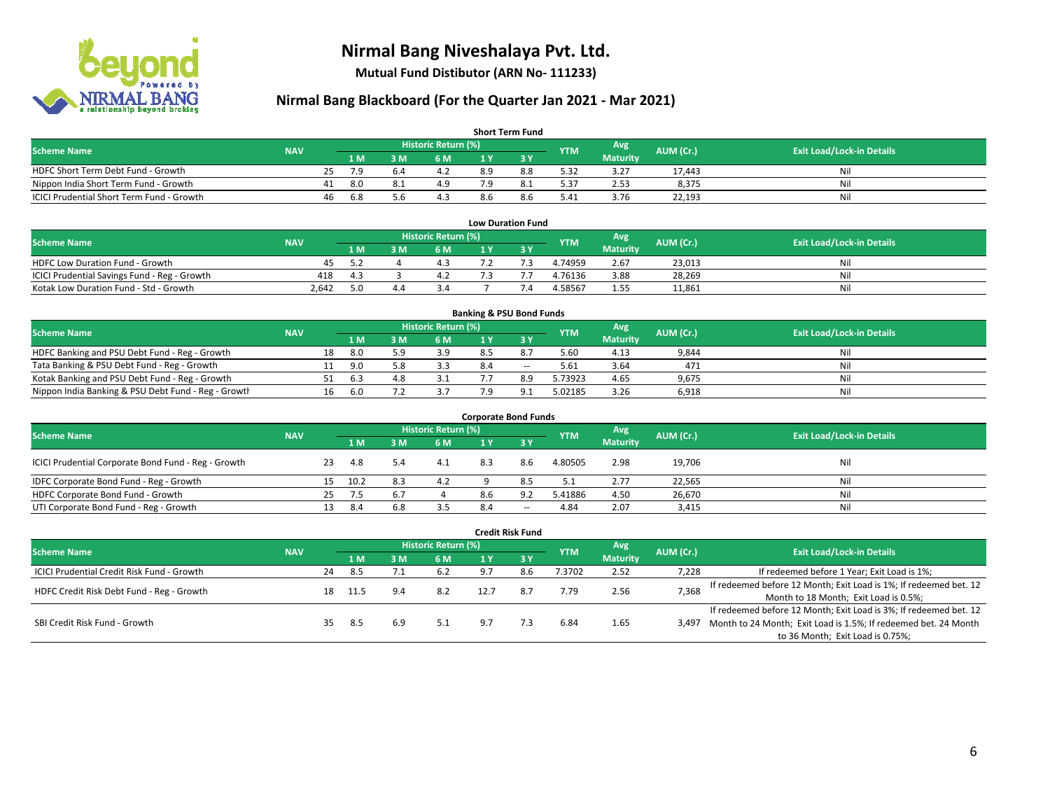

**Mutual Fund Distibutor (ARN No- 111233)**

| <b>Short Term Fund</b>                           |            |    |                |     |                     |     |     |            |                 |           |                                  |  |  |  |
|--------------------------------------------------|------------|----|----------------|-----|---------------------|-----|-----|------------|-----------------|-----------|----------------------------------|--|--|--|
| <b>Scheme Name</b>                               | <b>NAV</b> |    |                |     | Historic Return (%) |     |     | <b>YTM</b> | Avg \           | AUM (Cr.) | <b>Exit Load/Lock-in Details</b> |  |  |  |
|                                                  |            |    | 1 <sub>M</sub> | 3 M | 6 M                 |     |     |            | <b>Maturity</b> |           |                                  |  |  |  |
| HDFC Short Term Debt Fund - Growth               |            | 25 | 7.9            |     |                     | 8.9 | 8.8 | 5.32       | 3.27            | 17.443    | Nil                              |  |  |  |
| Nippon India Short Term Fund - Growth            |            | 41 | 8.0            |     | 4.9                 |     |     | 5.37       | 2.53            | 8,375     | Nil                              |  |  |  |
| <b>ICICI Prudential Short Term Fund - Growth</b> |            | 46 | -6.8           | 5.6 | 4.3                 | 8.6 | 8.6 | 5.41       | 3.76            | 22,193    | Nil                              |  |  |  |

| <b>Low Duration Fund</b>                     |            |     |  |                     |  |  |            |                 |           |                                  |  |  |  |  |
|----------------------------------------------|------------|-----|--|---------------------|--|--|------------|-----------------|-----------|----------------------------------|--|--|--|--|
| <b>Scheme Name</b>                           | <b>NAV</b> |     |  | Historic Return (%) |  |  | <b>YTM</b> | Avg             | AUM (Cr.) | <b>Exit Load/Lock-in Details</b> |  |  |  |  |
|                                              |            | 1 M |  | 6 M                 |  |  |            | <b>Maturity</b> |           |                                  |  |  |  |  |
| <b>HDFC Low Duration Fund - Growth</b>       | 45.        | 57  |  |                     |  |  | 4.74959    | 2.67            | 23,013    | Nil                              |  |  |  |  |
| ICICI Prudential Savings Fund - Reg - Growth | 418        | 4.3 |  | 4.2                 |  |  | 4.76136    | 3.88            | 28,269    | Nil                              |  |  |  |  |
| Kotak Low Duration Fund - Std - Growth       | 2.642      | 5.0 |  |                     |  |  | 4.58567    | 1.55            | 11,861    | Nil                              |  |  |  |  |

| <b>Banking &amp; PSU Bond Funds</b>                 |            |    |     |     |                     |     |     |            |                 |           |                                  |  |  |  |
|-----------------------------------------------------|------------|----|-----|-----|---------------------|-----|-----|------------|-----------------|-----------|----------------------------------|--|--|--|
| <b>Scheme Name</b>                                  | <b>NAV</b> |    |     |     | Historic Return (%) |     |     | <b>YTM</b> | Avg             | AUM (Cr.) | <b>Exit Load/Lock-in Details</b> |  |  |  |
|                                                     |            |    | 1 M | . M | 6 M                 |     |     |            | <b>Maturity</b> |           |                                  |  |  |  |
| HDFC Banking and PSU Debt Fund - Reg - Growth       |            | 18 | 8.0 |     | 3.9                 |     |     | 5.60       | 4.13            | 9,844     | Nil                              |  |  |  |
| Tata Banking & PSU Debt Fund - Reg - Growth         |            |    | 9.0 |     | 3.3                 | 8.4 | $-$ | 5.61       | 3.64            | 471       | Nil                              |  |  |  |
| Kotak Banking and PSU Debt Fund - Reg - Growth      |            |    | 6.3 | 4.8 |                     |     | 8.9 | 5.73923    | 4.65            | 9,675     | Nil                              |  |  |  |
| Nippon India Banking & PSU Debt Fund - Reg - Growth |            | 16 | 6.0 |     |                     | ם ד |     | 5.02185    | 3.26            | 6,918     | Nil                              |  |  |  |

| <b>Corporate Bond Funds</b>                         |            |     |      |          |                     |     |       |            |                 |           |                                  |  |  |
|-----------------------------------------------------|------------|-----|------|----------|---------------------|-----|-------|------------|-----------------|-----------|----------------------------------|--|--|
| <b>Scheme Name</b>                                  |            |     |      |          | Historic Return (%) |     |       | <b>YTM</b> | Avg             | AUM (Cr.) | <b>Exit Load/Lock-in Details</b> |  |  |
|                                                     | <b>NAV</b> |     | 1 M  | <b>M</b> | 6 M                 |     |       |            | <b>Maturity</b> |           |                                  |  |  |
| ICICI Prudential Corporate Bond Fund - Reg - Growth |            | 23  | 4.8  | 5.4      | 4.1                 | 8.3 | 8.6   | 4.80505    | 2.98            | 19,706    | Nil                              |  |  |
| IDFC Corporate Bond Fund - Reg - Growth             |            | 15  | 10.2 | 8.3      | 4.2                 |     | 8.5   | 5.1        | 2.77            | 22,565    | Nil                              |  |  |
| HDFC Corporate Bond Fund - Growth                   |            | 25  | 7.5  | -6.7     |                     | 8.6 | 9.2   | 5.41886    | 4.50            | 26,670    | Nil                              |  |  |
| UTI Corporate Bond Fund - Reg - Growth              |            | 13. | -8.4 | 6.8      | 3.5                 | 8.4 | $- -$ | 4.84       | 2.07            | 3,415     | Nil                              |  |  |

|                                                   |            |    |      |     |                     |      | <b>Credit Risk Fund</b> |            |                        |           |                                                                       |
|---------------------------------------------------|------------|----|------|-----|---------------------|------|-------------------------|------------|------------------------|-----------|-----------------------------------------------------------------------|
| <b>Scheme Name</b>                                | <b>NAV</b> |    |      |     | Historic Return (%) |      |                         | <b>YTM</b> | Avg<br><b>Maturity</b> | AUM (Cr.) | <b>Exit Load/Lock-in Details</b>                                      |
|                                                   |            |    | 1 M  | 3 M | <b>6 M</b>          | 1 Y  | <b>23 Y</b>             |            |                        |           |                                                                       |
| <b>ICICI Prudential Credit Risk Fund - Growth</b> |            | 24 | 8.5  |     | 6.2                 | 9.7  | 8.6                     | 1.3702     | 2.52                   | 7,228     | If redeemed before 1 Year; Exit Load is 1%;                           |
| HDFC Credit Risk Debt Fund - Reg - Growth         |            | 18 | 11.5 | 9.4 | 8.2                 | 12.7 | 8.7                     | 7.79       | 2.56                   | 7,368     | If redeemed before 12 Month; Exit Load is 1%; If redeemed bet. 12     |
|                                                   |            |    |      |     |                     |      |                         |            |                        |           | Month to 18 Month; Exit Load is 0.5%;                                 |
|                                                   |            |    |      |     |                     |      |                         |            |                        |           | If redeemed before 12 Month; Exit Load is 3%; If redeemed bet. 12     |
| SBI Credit Risk Fund - Growth                     |            | 35 | -8.5 | 6.9 | 5.1                 | 9.7  |                         | 6.84       | 1.65                   |           | 3,497 Month to 24 Month; Exit Load is 1.5%; If redeemed bet. 24 Month |
|                                                   |            |    |      |     |                     |      |                         |            |                        |           | to 36 Month; Exit Load is 0.75%;                                      |